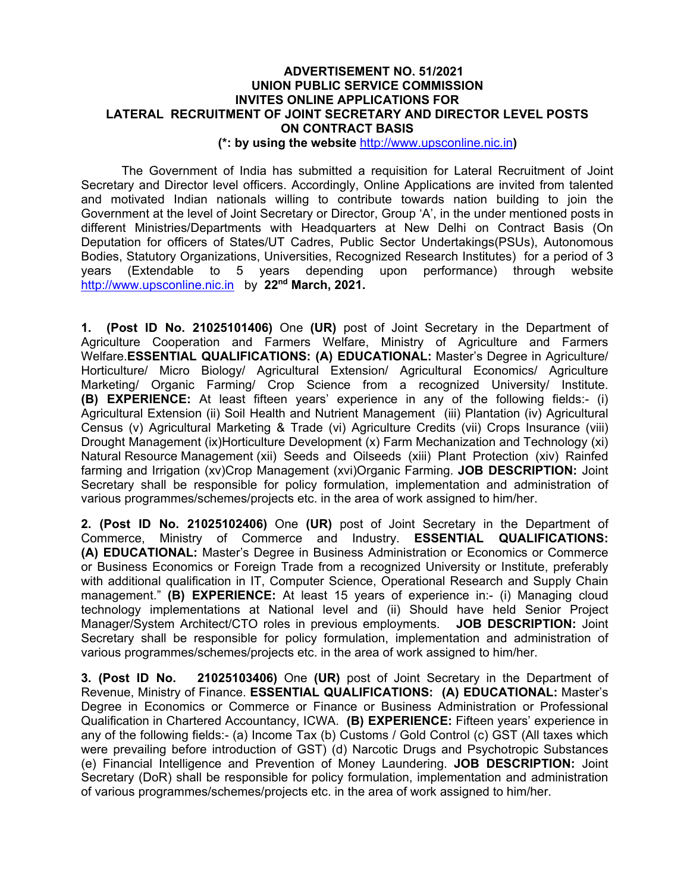#### **ADVERTISEMENT NO. 51/2021 UNION PUBLIC SERVICE COMMISSION INVITES ONLINE APPLICATIONS FOR LATERAL RECRUITMENT OF JOINT SECRETARY AND DIRECTOR LEVEL POSTS ON CONTRACT BASIS**

**(\*: by using the website** http://www.upsconline.nic.in**)** 

The Government of India has submitted a requisition for Lateral Recruitment of Joint Secretary and Director level officers. Accordingly, Online Applications are invited from talented and motivated Indian nationals willing to contribute towards nation building to join the Government at the level of Joint Secretary or Director, Group 'A', in the under mentioned posts in different Ministries/Departments with Headquarters at New Delhi on Contract Basis (On Deputation for officers of States/UT Cadres, Public Sector Undertakings(PSUs), Autonomous Bodies, Statutory Organizations, Universities, Recognized Research Institutes) for a period of 3 years (Extendable to 5 years depending upon performance) through website http://www.upsconline.nic.in by **22nd March, 2021.**

**1. (Post ID No. 21025101406)** One **(UR)** post of Joint Secretary in the Department of Agriculture Cooperation and Farmers Welfare, Ministry of Agriculture and Farmers Welfare.**ESSENTIAL QUALIFICATIONS: (A) EDUCATIONAL:** Master's Degree in Agriculture/ Horticulture/ Micro Biology/ Agricultural Extension/ Agricultural Economics/ Agriculture Marketing/ Organic Farming/ Crop Science from a recognized University/ Institute. **(B) EXPERIENCE:** At least fifteen years' experience in any of the following fields:- (i) Agricultural Extension (ii) Soil Health and Nutrient Management (iii) Plantation (iv) Agricultural Census (v) Agricultural Marketing & Trade (vi) Agriculture Credits (vii) Crops Insurance (viii) Drought Management (ix)Horticulture Development (x) Farm Mechanization and Technology (xi) Natural Resource Management (xii) Seeds and Oilseeds (xiii) Plant Protection (xiv) Rainfed farming and Irrigation (xv)Crop Management (xvi)Organic Farming. **JOB DESCRIPTION:** Joint Secretary shall be responsible for policy formulation, implementation and administration of various programmes/schemes/projects etc. in the area of work assigned to him/her.

**2. (Post ID No. 21025102406)** One **(UR)** post of Joint Secretary in the Department of Commerce, Ministry of Commerce and Industry. **ESSENTIAL QUALIFICATIONS: (A) EDUCATIONAL:** Master's Degree in Business Administration or Economics or Commerce or Business Economics or Foreign Trade from a recognized University or Institute, preferably with additional qualification in IT, Computer Science, Operational Research and Supply Chain management." **(B) EXPERIENCE:** At least 15 years of experience in:- (i) Managing cloud technology implementations at National level and (ii) Should have held Senior Project Manager/System Architect/CTO roles in previous employments. **JOB DESCRIPTION:** Joint Secretary shall be responsible for policy formulation, implementation and administration of various programmes/schemes/projects etc. in the area of work assigned to him/her.

**3. (Post ID No. 21025103406)** One **(UR)** post of Joint Secretary in the Department of Revenue, Ministry of Finance. **ESSENTIAL QUALIFICATIONS: (A) EDUCATIONAL:** Master's Degree in Economics or Commerce or Finance or Business Administration or Professional Qualification in Chartered Accountancy, ICWA. **(B) EXPERIENCE:** Fifteen years' experience in any of the following fields:- (a) Income Tax (b) Customs / Gold Control (c) GST (All taxes which were prevailing before introduction of GST) (d) Narcotic Drugs and Psychotropic Substances (e) Financial Intelligence and Prevention of Money Laundering. **JOB DESCRIPTION:** Joint Secretary (DoR) shall be responsible for policy formulation, implementation and administration of various programmes/schemes/projects etc. in the area of work assigned to him/her.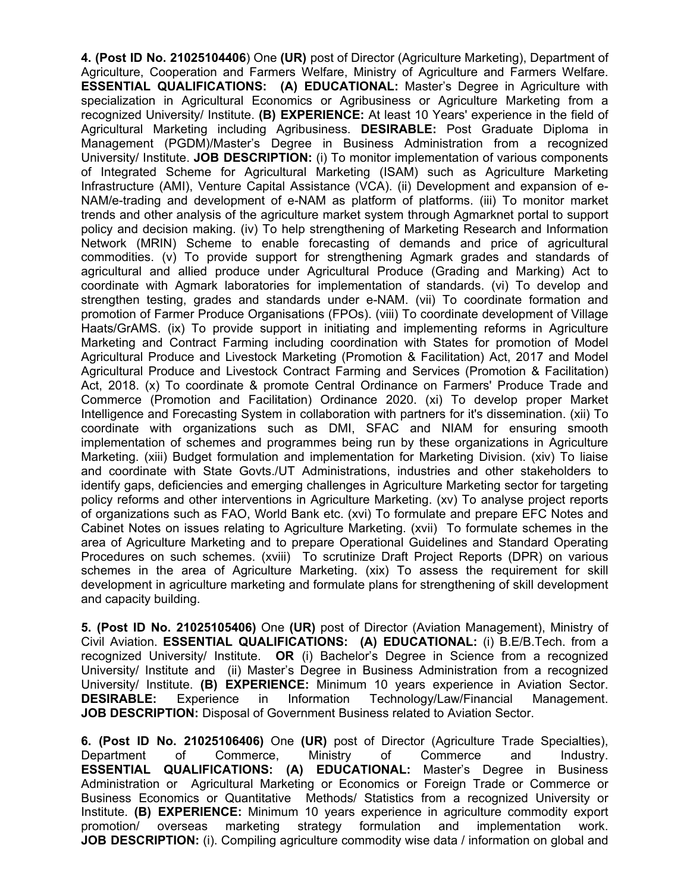**4. (Post ID No. 21025104406**) One **(UR)** post of Director (Agriculture Marketing), Department of Agriculture, Cooperation and Farmers Welfare, Ministry of Agriculture and Farmers Welfare. **ESSENTIAL QUALIFICATIONS: (A) EDUCATIONAL:** Master's Degree in Agriculture with specialization in Agricultural Economics or Agribusiness or Agriculture Marketing from a recognized University/ Institute. **(B) EXPERIENCE:** At least 10 Years' experience in the field of Agricultural Marketing including Agribusiness. **DESIRABLE:** Post Graduate Diploma in Management (PGDM)/Master's Degree in Business Administration from a recognized University/ Institute. **JOB DESCRIPTION:** (i) To monitor implementation of various components of Integrated Scheme for Agricultural Marketing (ISAM) such as Agriculture Marketing Infrastructure (AMI), Venture Capital Assistance (VCA). (ii) Development and expansion of e-NAM/e-trading and development of e-NAM as platform of platforms. (iii) To monitor market trends and other analysis of the agriculture market system through Agmarknet portal to support policy and decision making. (iv) To help strengthening of Marketing Research and Information Network (MRIN) Scheme to enable forecasting of demands and price of agricultural commodities. (v) To provide support for strengthening Agmark grades and standards of agricultural and allied produce under Agricultural Produce (Grading and Marking) Act to coordinate with Agmark laboratories for implementation of standards. (vi) To develop and strengthen testing, grades and standards under e-NAM. (vii) To coordinate formation and promotion of Farmer Produce Organisations (FPOs). (viii) To coordinate development of Village Haats/GrAMS. (ix) To provide support in initiating and implementing reforms in Agriculture Marketing and Contract Farming including coordination with States for promotion of Model Agricultural Produce and Livestock Marketing (Promotion & Facilitation) Act, 2017 and Model Agricultural Produce and Livestock Contract Farming and Services (Promotion & Facilitation) Act, 2018. (x) To coordinate & promote Central Ordinance on Farmers' Produce Trade and Commerce (Promotion and Facilitation) Ordinance 2020. (xi) To develop proper Market Intelligence and Forecasting System in collaboration with partners for it's dissemination. (xii) To coordinate with organizations such as DMI, SFAC and NIAM for ensuring smooth implementation of schemes and programmes being run by these organizations in Agriculture Marketing. (xiii) Budget formulation and implementation for Marketing Division. (xiv) To liaise and coordinate with State Govts./UT Administrations, industries and other stakeholders to identify gaps, deficiencies and emerging challenges in Agriculture Marketing sector for targeting policy reforms and other interventions in Agriculture Marketing. (xv) To analyse project reports of organizations such as FAO, World Bank etc. (xvi) To formulate and prepare EFC Notes and Cabinet Notes on issues relating to Agriculture Marketing. (xvii) To formulate schemes in the area of Agriculture Marketing and to prepare Operational Guidelines and Standard Operating Procedures on such schemes. (xviii) To scrutinize Draft Project Reports (DPR) on various schemes in the area of Agriculture Marketing. (xix) To assess the requirement for skill development in agriculture marketing and formulate plans for strengthening of skill development and capacity building.

**5. (Post ID No. 21025105406)** One **(UR)** post of Director (Aviation Management), Ministry of Civil Aviation. **ESSENTIAL QUALIFICATIONS: (A) EDUCATIONAL:** (i) B.E/B.Tech. from a recognized University/ Institute. **OR** (i) Bachelor's Degree in Science from a recognized University/ Institute and (ii) Master's Degree in Business Administration from a recognized University/ Institute. **(B) EXPERIENCE:** Minimum 10 years experience in Aviation Sector. **DESIRABLE:** Experience in Information Technology/Law/Financial Management. **JOB DESCRIPTION:** Disposal of Government Business related to Aviation Sector.

**6. (Post ID No. 21025106406)** One **(UR)** post of Director (Agriculture Trade Specialties), Department of Commerce, Ministry of Commerce and Industry. **ESSENTIAL QUALIFICATIONS: (A) EDUCATIONAL:** Master's Degree in Business Administration or Agricultural Marketing or Economics or Foreign Trade or Commerce or Business Economics or Quantitative Methods/ Statistics from a recognized University or Institute. **(B) EXPERIENCE:** Minimum 10 years experience in agriculture commodity export promotion/ overseas marketing strategy formulation and implementation work. **JOB DESCRIPTION:** (i). Compiling agriculture commodity wise data / information on global and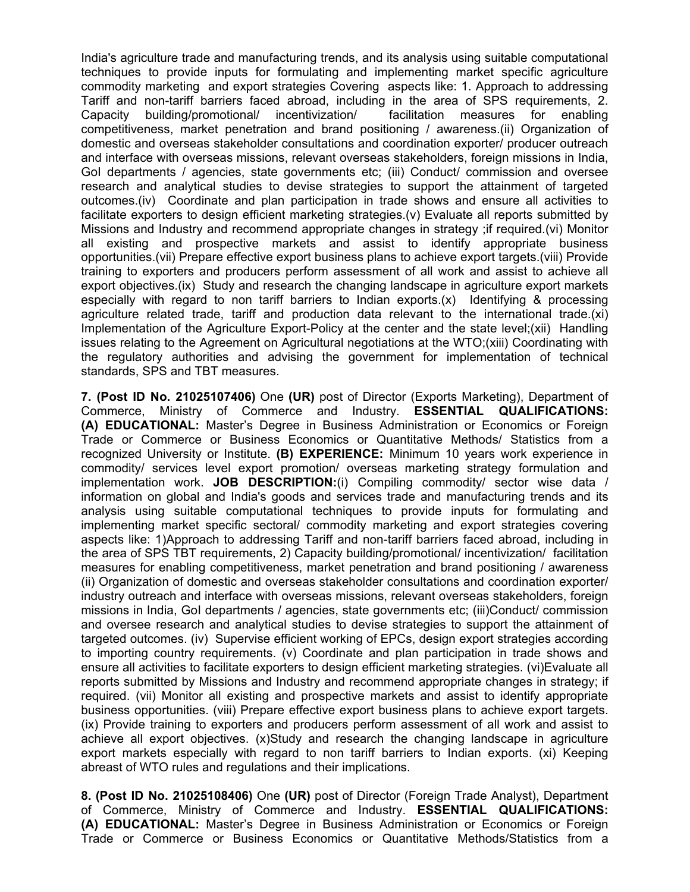India's agriculture trade and manufacturing trends, and its analysis using suitable computational techniques to provide inputs for formulating and implementing market specific agriculture commodity marketing and export strategies Covering aspects like: 1. Approach to addressing Tariff and non-tariff barriers faced abroad, including in the area of SPS requirements, 2. Capacity building/promotional/ incentivization/ facilitation measures for enabling competitiveness, market penetration and brand positioning / awareness.(ii) Organization of domestic and overseas stakeholder consultations and coordination exporter/ producer outreach and interface with overseas missions, relevant overseas stakeholders, foreign missions in India, GoI departments / agencies, state governments etc; (iii) Conduct/ commission and oversee research and analytical studies to devise strategies to support the attainment of targeted outcomes.(iv) Coordinate and plan participation in trade shows and ensure all activities to facilitate exporters to design efficient marketing strategies.(v) Evaluate all reports submitted by Missions and Industry and recommend appropriate changes in strategy ;if required.(vi) Monitor all existing and prospective markets and assist to identify appropriate business opportunities.(vii) Prepare effective export business plans to achieve export targets.(viii) Provide training to exporters and producers perform assessment of all work and assist to achieve all export objectives.(ix) Study and research the changing landscape in agriculture export markets especially with regard to non tariff barriers to Indian exports.(x) Identifying & processing agriculture related trade, tariff and production data relevant to the international trade.(xi) Implementation of the Agriculture Export-Policy at the center and the state level;(xii) Handling issues relating to the Agreement on Agricultural negotiations at the WTO;(xiii) Coordinating with the regulatory authorities and advising the government for implementation of technical standards, SPS and TBT measures.

**7. (Post ID No. 21025107406)** One **(UR)** post of Director (Exports Marketing), Department of Commerce, Ministry of Commerce and Industry. **ESSENTIAL QUALIFICATIONS: (A) EDUCATIONAL:** Master's Degree in Business Administration or Economics or Foreign Trade or Commerce or Business Economics or Quantitative Methods/ Statistics from a recognized University or Institute. **(B) EXPERIENCE:** Minimum 10 years work experience in commodity/ services level export promotion/ overseas marketing strategy formulation and implementation work. **JOB DESCRIPTION:**(i) Compiling commodity/ sector wise data / information on global and India's goods and services trade and manufacturing trends and its analysis using suitable computational techniques to provide inputs for formulating and implementing market specific sectoral/ commodity marketing and export strategies covering aspects like: 1)Approach to addressing Tariff and non-tariff barriers faced abroad, including in the area of SPS TBT requirements, 2) Capacity building/promotional/ incentivization/ facilitation measures for enabling competitiveness, market penetration and brand positioning / awareness (ii) Organization of domestic and overseas stakeholder consultations and coordination exporter/ industry outreach and interface with overseas missions, relevant overseas stakeholders, foreign missions in India, GoI departments / agencies, state governments etc; (iii)Conduct/ commission and oversee research and analytical studies to devise strategies to support the attainment of targeted outcomes. (iv) Supervise efficient working of EPCs, design export strategies according to importing country requirements. (v) Coordinate and plan participation in trade shows and ensure all activities to facilitate exporters to design efficient marketing strategies. (vi)Evaluate all reports submitted by Missions and Industry and recommend appropriate changes in strategy; if required. (vii) Monitor all existing and prospective markets and assist to identify appropriate business opportunities. (viii) Prepare effective export business plans to achieve export targets. (ix) Provide training to exporters and producers perform assessment of all work and assist to achieve all export objectives. (x)Study and research the changing landscape in agriculture export markets especially with regard to non tariff barriers to Indian exports. (xi) Keeping abreast of WTO rules and regulations and their implications.

**8. (Post ID No. 21025108406)** One **(UR)** post of Director (Foreign Trade Analyst), Department of Commerce, Ministry of Commerce and Industry. **ESSENTIAL QUALIFICATIONS: (A) EDUCATIONAL:** Master's Degree in Business Administration or Economics or Foreign Trade or Commerce or Business Economics or Quantitative Methods/Statistics from a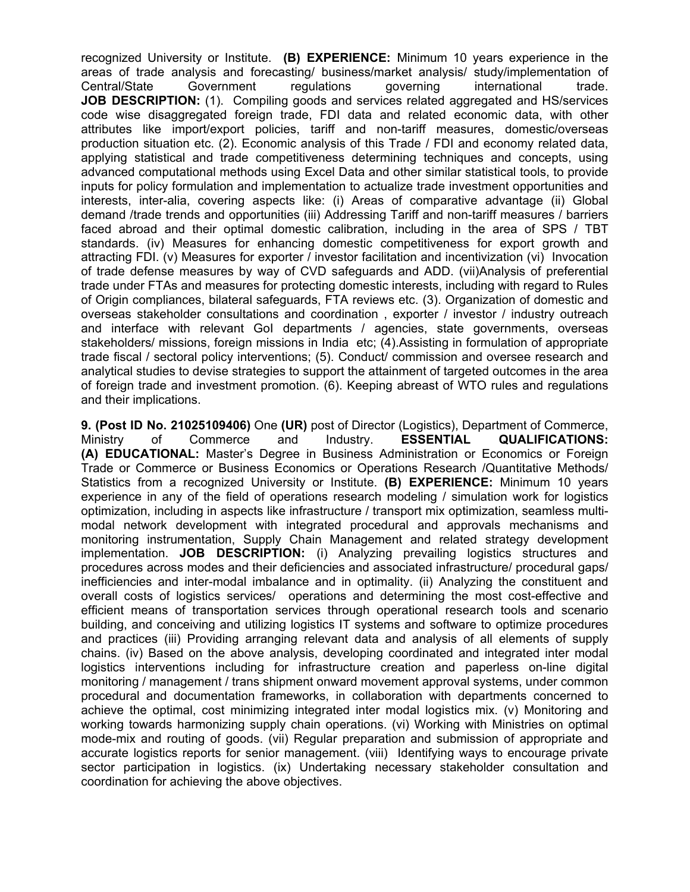recognized University or Institute. **(B) EXPERIENCE:** Minimum 10 years experience in the areas of trade analysis and forecasting/ business/market analysis/ study/implementation of Central/State Government regulations governing international trade. **JOB DESCRIPTION:** (1). Compiling goods and services related aggregated and HS/services code wise disaggregated foreign trade, FDI data and related economic data, with other attributes like import/export policies, tariff and non-tariff measures, domestic/overseas production situation etc. (2). Economic analysis of this Trade / FDI and economy related data, applying statistical and trade competitiveness determining techniques and concepts, using advanced computational methods using Excel Data and other similar statistical tools, to provide inputs for policy formulation and implementation to actualize trade investment opportunities and interests, inter-alia, covering aspects like: (i) Areas of comparative advantage (ii) Global demand /trade trends and opportunities (iii) Addressing Tariff and non-tariff measures / barriers faced abroad and their optimal domestic calibration, including in the area of SPS / TBT standards. (iv) Measures for enhancing domestic competitiveness for export growth and attracting FDI. (v) Measures for exporter / investor facilitation and incentivization (vi) Invocation of trade defense measures by way of CVD safeguards and ADD. (vii)Analysis of preferential trade under FTAs and measures for protecting domestic interests, including with regard to Rules of Origin compliances, bilateral safeguards, FTA reviews etc. (3). Organization of domestic and overseas stakeholder consultations and coordination , exporter / investor / industry outreach and interface with relevant GoI departments / agencies, state governments, overseas stakeholders/ missions, foreign missions in India etc; (4).Assisting in formulation of appropriate trade fiscal / sectoral policy interventions; (5). Conduct/ commission and oversee research and analytical studies to devise strategies to support the attainment of targeted outcomes in the area of foreign trade and investment promotion. (6). Keeping abreast of WTO rules and regulations and their implications.

**9. (Post ID No. 21025109406)** One **(UR)** post of Director (Logistics), Department of Commerce, Ministry of Commerce and Industry. **ESSENTIAL QUALIFICATIONS: (A) EDUCATIONAL:** Master's Degree in Business Administration or Economics or Foreign Trade or Commerce or Business Economics or Operations Research /Quantitative Methods/ Statistics from a recognized University or Institute. **(B) EXPERIENCE:** Minimum 10 years experience in any of the field of operations research modeling / simulation work for logistics optimization, including in aspects like infrastructure / transport mix optimization, seamless multimodal network development with integrated procedural and approvals mechanisms and monitoring instrumentation, Supply Chain Management and related strategy development implementation. **JOB DESCRIPTION:** (i) Analyzing prevailing logistics structures and procedures across modes and their deficiencies and associated infrastructure/ procedural gaps/ inefficiencies and inter-modal imbalance and in optimality. (ii) Analyzing the constituent and overall costs of logistics services/ operations and determining the most cost-effective and efficient means of transportation services through operational research tools and scenario building, and conceiving and utilizing logistics IT systems and software to optimize procedures and practices (iii) Providing arranging relevant data and analysis of all elements of supply chains. (iv) Based on the above analysis, developing coordinated and integrated inter modal logistics interventions including for infrastructure creation and paperless on-line digital monitoring / management / trans shipment onward movement approval systems, under common procedural and documentation frameworks, in collaboration with departments concerned to achieve the optimal, cost minimizing integrated inter modal logistics mix. (v) Monitoring and working towards harmonizing supply chain operations. (vi) Working with Ministries on optimal mode-mix and routing of goods. (vii) Regular preparation and submission of appropriate and accurate logistics reports for senior management. (viii) Identifying ways to encourage private sector participation in logistics. (ix) Undertaking necessary stakeholder consultation and coordination for achieving the above objectives.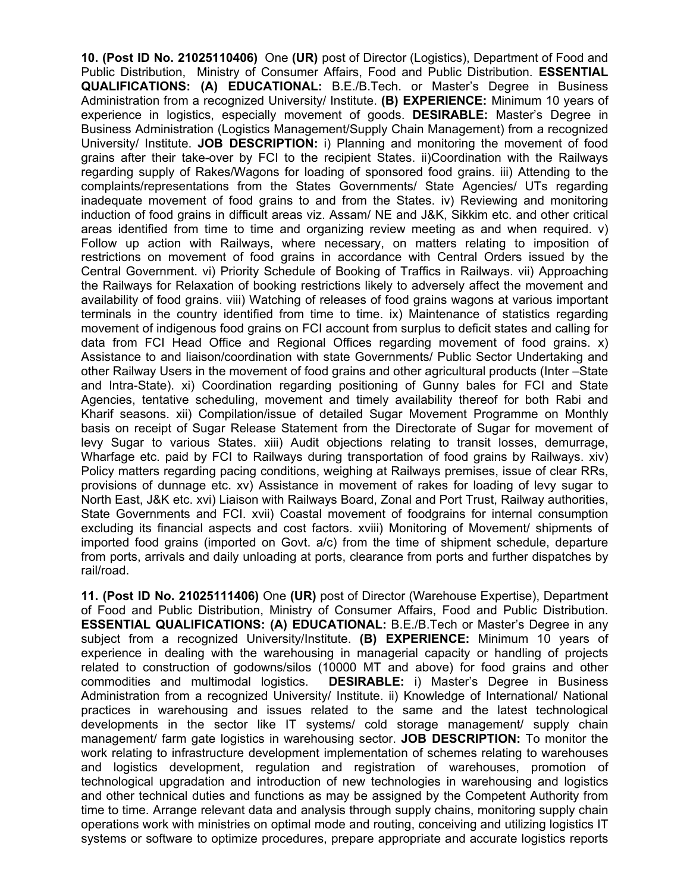**10. (Post ID No. 21025110406)** One **(UR)** post of Director (Logistics), Department of Food and Public Distribution, Ministry of Consumer Affairs, Food and Public Distribution. **ESSENTIAL QUALIFICATIONS: (A) EDUCATIONAL:** B.E./B.Tech. or Master's Degree in Business Administration from a recognized University/ Institute. **(B) EXPERIENCE:** Minimum 10 years of experience in logistics, especially movement of goods. **DESIRABLE:** Master's Degree in Business Administration (Logistics Management/Supply Chain Management) from a recognized University/ Institute. **JOB DESCRIPTION:** i) Planning and monitoring the movement of food grains after their take-over by FCI to the recipient States. ii)Coordination with the Railways regarding supply of Rakes/Wagons for loading of sponsored food grains. iii) Attending to the complaints/representations from the States Governments/ State Agencies/ UTs regarding inadequate movement of food grains to and from the States. iv) Reviewing and monitoring induction of food grains in difficult areas viz. Assam/ NE and J&K, Sikkim etc. and other critical areas identified from time to time and organizing review meeting as and when required. v) Follow up action with Railways, where necessary, on matters relating to imposition of restrictions on movement of food grains in accordance with Central Orders issued by the Central Government. vi) Priority Schedule of Booking of Traffics in Railways. vii) Approaching the Railways for Relaxation of booking restrictions likely to adversely affect the movement and availability of food grains. viii) Watching of releases of food grains wagons at various important terminals in the country identified from time to time. ix) Maintenance of statistics regarding movement of indigenous food grains on FCI account from surplus to deficit states and calling for data from FCI Head Office and Regional Offices regarding movement of food grains. x) Assistance to and liaison/coordination with state Governments/ Public Sector Undertaking and other Railway Users in the movement of food grains and other agricultural products (Inter –State and Intra-State). xi) Coordination regarding positioning of Gunny bales for FCI and State Agencies, tentative scheduling, movement and timely availability thereof for both Rabi and Kharif seasons. xii) Compilation/issue of detailed Sugar Movement Programme on Monthly basis on receipt of Sugar Release Statement from the Directorate of Sugar for movement of levy Sugar to various States. xiii) Audit objections relating to transit losses, demurrage, Wharfage etc. paid by FCI to Railways during transportation of food grains by Railways. xiv) Policy matters regarding pacing conditions, weighing at Railways premises, issue of clear RRs, provisions of dunnage etc. xv) Assistance in movement of rakes for loading of levy sugar to North East, J&K etc. xvi) Liaison with Railways Board, Zonal and Port Trust, Railway authorities, State Governments and FCI. xvii) Coastal movement of foodgrains for internal consumption excluding its financial aspects and cost factors. xviii) Monitoring of Movement/ shipments of imported food grains (imported on Govt. a/c) from the time of shipment schedule, departure from ports, arrivals and daily unloading at ports, clearance from ports and further dispatches by rail/road.

**11. (Post ID No. 21025111406)** One **(UR)** post of Director (Warehouse Expertise), Department of Food and Public Distribution, Ministry of Consumer Affairs, Food and Public Distribution. **ESSENTIAL QUALIFICATIONS: (A) EDUCATIONAL:** B.E./B.Tech or Master's Degree in any subject from a recognized University/Institute. **(B) EXPERIENCE:** Minimum 10 years of experience in dealing with the warehousing in managerial capacity or handling of projects related to construction of godowns/silos (10000 MT and above) for food grains and other commodities and multimodal logistics. **DESIRABLE:** i) Master's Degree in Business Administration from a recognized University/ Institute. ii) Knowledge of International/ National practices in warehousing and issues related to the same and the latest technological developments in the sector like IT systems/ cold storage management/ supply chain management/ farm gate logistics in warehousing sector. **JOB DESCRIPTION:** To monitor the work relating to infrastructure development implementation of schemes relating to warehouses and logistics development, regulation and registration of warehouses, promotion of technological upgradation and introduction of new technologies in warehousing and logistics and other technical duties and functions as may be assigned by the Competent Authority from time to time. Arrange relevant data and analysis through supply chains, monitoring supply chain operations work with ministries on optimal mode and routing, conceiving and utilizing logistics IT systems or software to optimize procedures, prepare appropriate and accurate logistics reports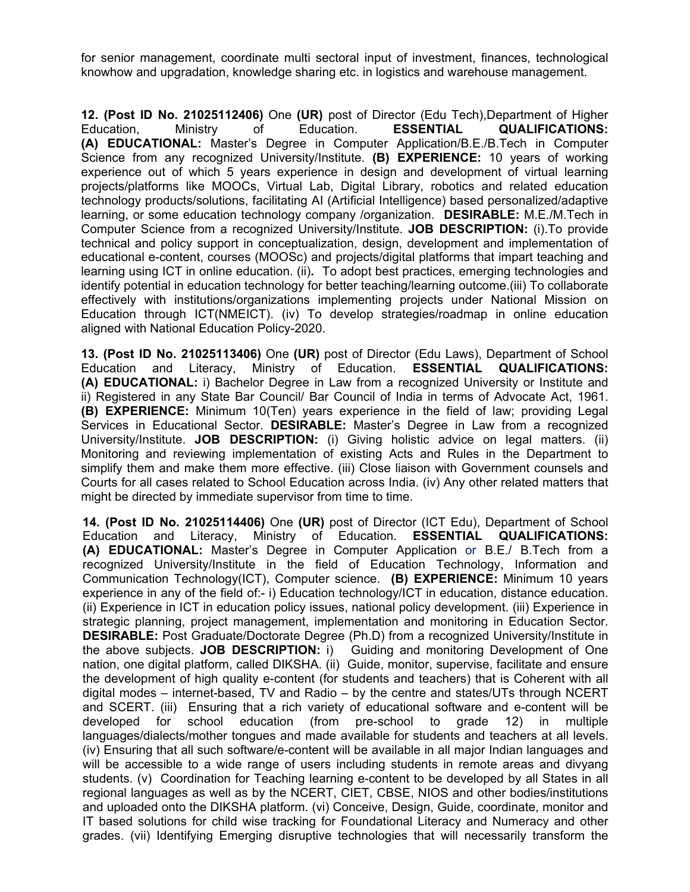for senior management, coordinate multi sectoral input of investment, finances, technological knowhow and upgradation, knowledge sharing etc. in logistics and warehouse management.

**12. (Post ID No. 21025112406)** One **(UR)** post of Director (Edu Tech),Department of Higher Education, Ministry of Education. **ESSENTIAL QUALIFICATIONS: (A) EDUCATIONAL:** Master's Degree in Computer Application/B.E./B.Tech in Computer Science from any recognized University/Institute. **(B) EXPERIENCE:** 10 years of working experience out of which 5 years experience in design and development of virtual learning projects/platforms like MOOCs, Virtual Lab, Digital Library, robotics and related education technology products/solutions, facilitating AI (Artificial Intelligence) based personalized/adaptive learning, or some education technology company /organization. **DESIRABLE:** M.E./M.Tech in Computer Science from a recognized University/Institute. **JOB DESCRIPTION:** (i).To provide technical and policy support in conceptualization, design, development and implementation of educational e-content, courses (MOOSc) and projects/digital platforms that impart teaching and learning using ICT in online education. (ii)**.** To adopt best practices, emerging technologies and identify potential in education technology for better teaching/learning outcome.(iii) To collaborate effectively with institutions/organizations implementing projects under National Mission on Education through ICT(NMEICT). (iv) To develop strategies/roadmap in online education aligned with National Education Policy-2020.

**13. (Post ID No. 21025113406)** One **(UR)** post of Director (Edu Laws), Department of School Education and Literacy, Ministry of Education. **ESSENTIAL QUALIFICATIONS: (A) EDUCATIONAL:** i) Bachelor Degree in Law from a recognized University or Institute and ii) Registered in any State Bar Council/ Bar Council of India in terms of Advocate Act, 1961. **(B) EXPERIENCE:** Minimum 10(Ten) years experience in the field of law; providing Legal Services in Educational Sector. **DESIRABLE:** Master's Degree in Law from a recognized University/Institute. **JOB DESCRIPTION:** (i) Giving holistic advice on legal matters. (ii) Monitoring and reviewing implementation of existing Acts and Rules in the Department to simplify them and make them more effective. (iii) Close liaison with Government counsels and Courts for all cases related to School Education across India. (iv) Any other related matters that might be directed by immediate supervisor from time to time.

**14. (Post ID No. 21025114406)** One **(UR)** post of Director (ICT Edu), Department of School Education and Literacy, Ministry of Education. **ESSENTIAL QUALIFICATIONS: (A) EDUCATIONAL:** Master's Degree in Computer Application or B.E./ B.Tech from a recognized University/Institute in the field of Education Technology, Information and Communication Technology(ICT), Computer science. **(B) EXPERIENCE:** Minimum 10 years experience in any of the field of:- i) Education technology/ICT in education, distance education. (ii) Experience in ICT in education policy issues, national policy development. (iii) Experience in strategic planning, project management, implementation and monitoring in Education Sector. **DESIRABLE:** Post Graduate/Doctorate Degree (Ph.D) from a recognized University/Institute in the above subjects. **JOB DESCRIPTION:** i) Guiding and monitoring Development of One nation, one digital platform, called DIKSHA. (ii) Guide, monitor, supervise, facilitate and ensure the development of high quality e-content (for students and teachers) that is Coherent with all digital modes – internet-based, TV and Radio – by the centre and states/UTs through NCERT and SCERT. (iii) Ensuring that a rich variety of educational software and e-content will be developed for school education (from pre-school to grade 12) in multiple languages/dialects/mother tongues and made available for students and teachers at all levels. (iv) Ensuring that all such software/e-content will be available in all major Indian languages and will be accessible to a wide range of users including students in remote areas and divyang students. (v) Coordination for Teaching learning e-content to be developed by all States in all regional languages as well as by the NCERT, CIET, CBSE, NIOS and other bodies/institutions and uploaded onto the DIKSHA platform. (vi) Conceive, Design, Guide, coordinate, monitor and IT based solutions for child wise tracking for Foundational Literacy and Numeracy and other grades. (vii) Identifying Emerging disruptive technologies that will necessarily transform the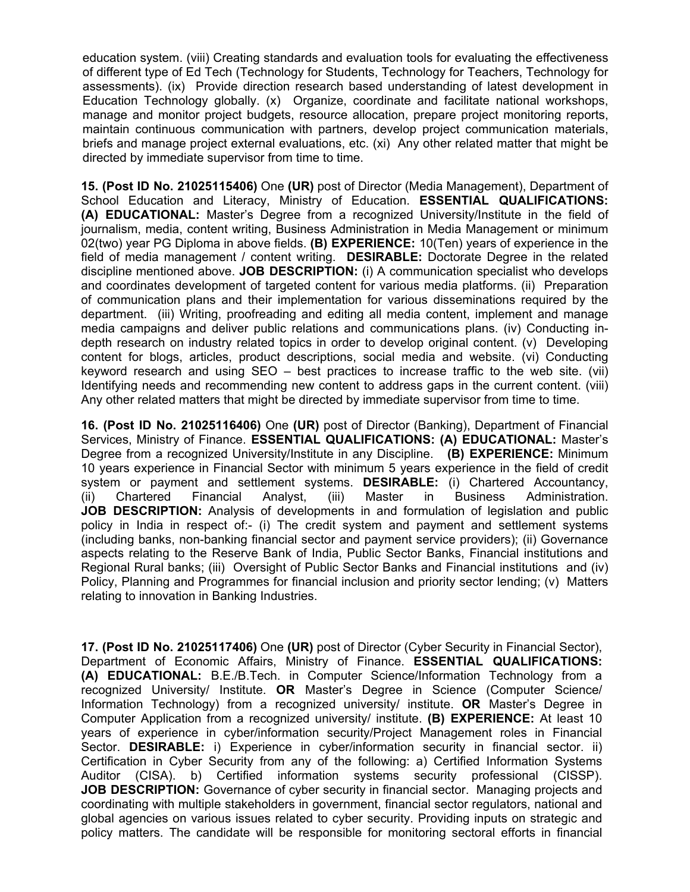education system. (viii) Creating standards and evaluation tools for evaluating the effectiveness of different type of Ed Tech (Technology for Students, Technology for Teachers, Technology for assessments). (ix) Provide direction research based understanding of latest development in Education Technology globally. (x) Organize, coordinate and facilitate national workshops, manage and monitor project budgets, resource allocation, prepare project monitoring reports, maintain continuous communication with partners, develop project communication materials, briefs and manage project external evaluations, etc. (xi) Any other related matter that might be directed by immediate supervisor from time to time.

**15. (Post ID No. 21025115406)** One **(UR)** post of Director (Media Management), Department of School Education and Literacy, Ministry of Education. **ESSENTIAL QUALIFICATIONS: (A) EDUCATIONAL:** Master's Degree from a recognized University/Institute in the field of journalism, media, content writing, Business Administration in Media Management or minimum 02(two) year PG Diploma in above fields. **(B) EXPERIENCE:** 10(Ten) years of experience in the field of media management / content writing. **DESIRABLE:** Doctorate Degree in the related discipline mentioned above. **JOB DESCRIPTION:** (i) A communication specialist who develops and coordinates development of targeted content for various media platforms. (ii) Preparation of communication plans and their implementation for various disseminations required by the department. (iii) Writing, proofreading and editing all media content, implement and manage media campaigns and deliver public relations and communications plans. (iv) Conducting indepth research on industry related topics in order to develop original content. (v) Developing content for blogs, articles, product descriptions, social media and website. (vi) Conducting keyword research and using SEO – best practices to increase traffic to the web site. (vii) Identifying needs and recommending new content to address gaps in the current content. (viii) Any other related matters that might be directed by immediate supervisor from time to time.

**16. (Post ID No. 21025116406)** One **(UR)** post of Director (Banking), Department of Financial Services, Ministry of Finance. **ESSENTIAL QUALIFICATIONS: (A) EDUCATIONAL:** Master's Degree from a recognized University/Institute in any Discipline. **(B) EXPERIENCE:** Minimum 10 years experience in Financial Sector with minimum 5 years experience in the field of credit system or payment and settlement systems. **DESIRABLE:** (i) Chartered Accountancy, (ii) Chartered Financial Analyst, (iii) Master in Business Administration. **JOB DESCRIPTION:** Analysis of developments in and formulation of legislation and public policy in India in respect of:- (i) The credit system and payment and settlement systems (including banks, non-banking financial sector and payment service providers); (ii) Governance aspects relating to the Reserve Bank of India, Public Sector Banks, Financial institutions and Regional Rural banks; (iii) Oversight of Public Sector Banks and Financial institutions and (iv) Policy, Planning and Programmes for financial inclusion and priority sector lending; (v) Matters relating to innovation in Banking Industries.

**17. (Post ID No. 21025117406)** One **(UR)** post of Director (Cyber Security in Financial Sector), Department of Economic Affairs, Ministry of Finance. **ESSENTIAL QUALIFICATIONS: (A) EDUCATIONAL:** B.E./B.Tech. in Computer Science/Information Technology from a recognized University/ Institute. **OR** Master's Degree in Science (Computer Science/ Information Technology) from a recognized university/ institute. **OR** Master's Degree in Computer Application from a recognized university/ institute. **(B) EXPERIENCE:** At least 10 years of experience in cyber/information security/Project Management roles in Financial Sector. **DESIRABLE:** i) Experience in cyber/information security in financial sector. ii) Certification in Cyber Security from any of the following: a) Certified Information Systems Auditor (CISA). b) Certified information systems security professional (CISSP). **JOB DESCRIPTION:** Governance of cyber security in financial sector. Managing projects and coordinating with multiple stakeholders in government, financial sector regulators, national and global agencies on various issues related to cyber security. Providing inputs on strategic and policy matters. The candidate will be responsible for monitoring sectoral efforts in financial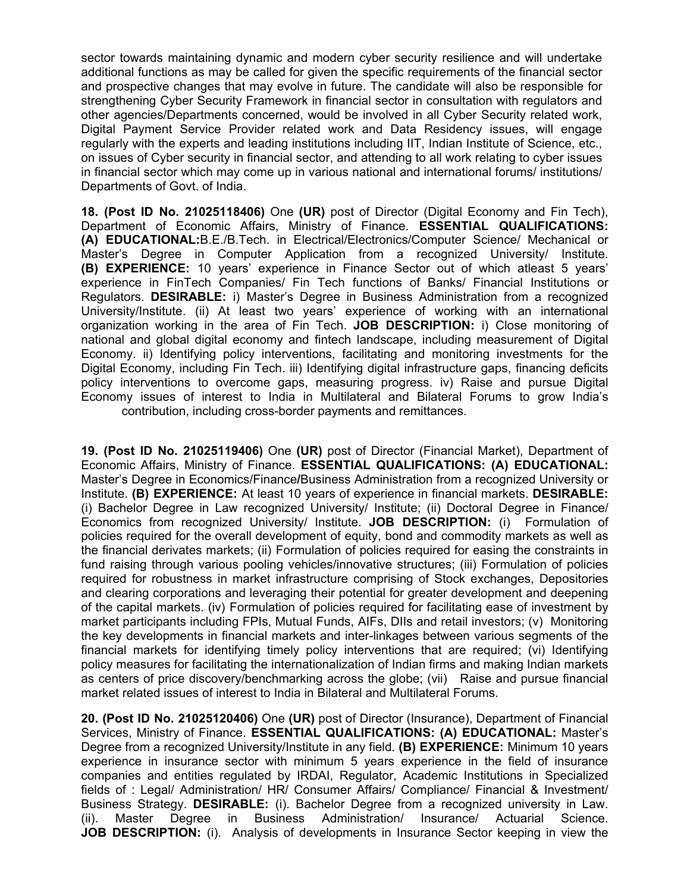sector towards maintaining dynamic and modern cyber security resilience and will undertake additional functions as may be called for given the specific requirements of the financial sector and prospective changes that may evolve in future. The candidate will also be responsible for strengthening Cyber Security Framework in financial sector in consultation with regulators and other agencies/Departments concerned, would be involved in all Cyber Security related work, Digital Payment Service Provider related work and Data Residency issues, will engage regularly with the experts and leading institutions including IIT, Indian Institute of Science, etc., on issues of Cyber security in financial sector, and attending to all work relating to cyber issues in financial sector which may come up in various national and international forums/ institutions/ Departments of Govt. of India.

**18. (Post ID No. 21025118406)** One **(UR)** post of Director (Digital Economy and Fin Tech), Department of Economic Affairs, Ministry of Finance. **ESSENTIAL QUALIFICATIONS: (A) EDUCATIONAL:**B.E./B.Tech. in Electrical/Electronics/Computer Science/ Mechanical or Master's Degree in Computer Application from a recognized University/ Institute. **(B) EXPERIENCE:** 10 years' experience in Finance Sector out of which atleast 5 years' experience in FinTech Companies/ Fin Tech functions of Banks/ Financial Institutions or Regulators. **DESIRABLE:** i) Master's Degree in Business Administration from a recognized University/Institute. (ii) At least two years' experience of working with an international organization working in the area of Fin Tech. **JOB DESCRIPTION:** i) Close monitoring of national and global digital economy and fintech landscape, including measurement of Digital Economy. ii) Identifying policy interventions, facilitating and monitoring investments for the Digital Economy, including Fin Tech. iii) Identifying digital infrastructure gaps, financing deficits policy interventions to overcome gaps, measuring progress. iv) Raise and pursue Digital Economy issues of interest to India in Multilateral and Bilateral Forums to grow India's contribution, including cross-border payments and remittances.

**19. (Post ID No. 21025119406)** One **(UR)** post of Director (Financial Market), Department of Economic Affairs, Ministry of Finance. **ESSENTIAL QUALIFICATIONS: (A) EDUCATIONAL:** Master's Degree in Economics/Finance**/**Business Administration from a recognized University or Institute. **(B) EXPERIENCE:** At least 10 years of experience in financial markets. **DESIRABLE:**  (i) Bachelor Degree in Law recognized University/ Institute; (ii) Doctoral Degree in Finance/ Economics from recognized University/ Institute. **JOB DESCRIPTION:** (i) Formulation of policies required for the overall development of equity, bond and commodity markets as well as the financial derivates markets; (ii) Formulation of policies required for easing the constraints in fund raising through various pooling vehicles/innovative structures; (iii) Formulation of policies required for robustness in market infrastructure comprising of Stock exchanges, Depositories and clearing corporations and leveraging their potential for greater development and deepening of the capital markets. (iv) Formulation of policies required for facilitating ease of investment by market participants including FPIs, Mutual Funds, AIFs, DIIs and retail investors; (v) Monitoring the key developments in financial markets and inter-linkages between various segments of the financial markets for identifying timely policy interventions that are required; (vi) Identifying policy measures for facilitating the internationalization of Indian firms and making Indian markets as centers of price discovery/benchmarking across the globe; (vii) Raise and pursue financial market related issues of interest to India in Bilateral and Multilateral Forums.

**20. (Post ID No. 21025120406)** One **(UR)** post of Director (Insurance), Department of Financial Services, Ministry of Finance. **ESSENTIAL QUALIFICATIONS: (A) EDUCATIONAL:** Master's Degree from a recognized University/Institute in any field. **(B) EXPERIENCE:** Minimum 10 years experience in insurance sector with minimum 5 years experience in the field of insurance companies and entities regulated by IRDAI, Regulator, Academic Institutions in Specialized fields of : Legal/ Administration/ HR/ Consumer Affairs/ Compliance/ Financial & Investment/ Business Strategy. **DESIRABLE:** (i). Bachelor Degree from a recognized university in Law. (ii). Master Degree in Business Administration/ Insurance/ Actuarial Science. **JOB DESCRIPTION:** (i). Analysis of developments in Insurance Sector keeping in view the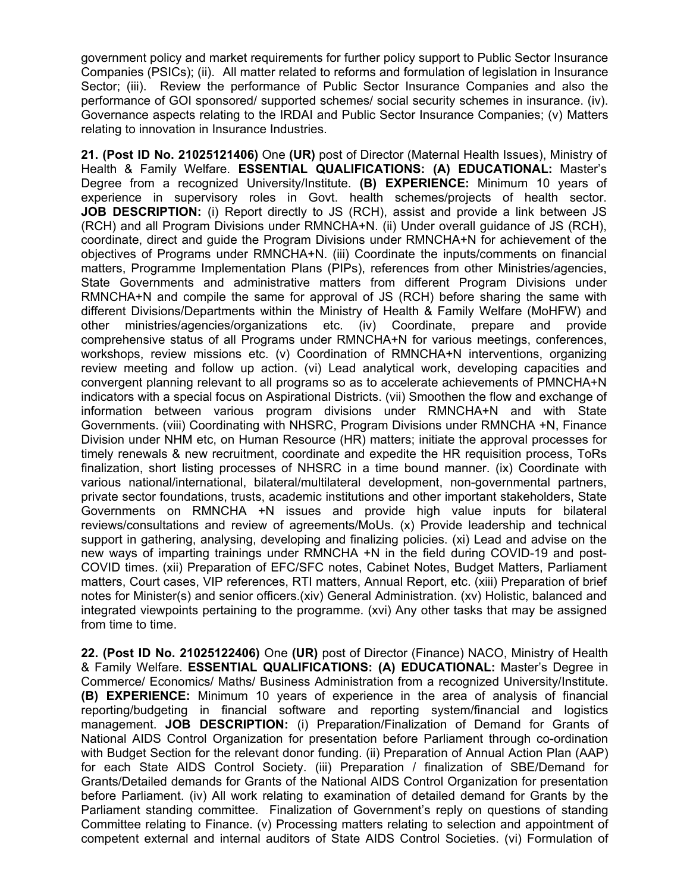government policy and market requirements for further policy support to Public Sector Insurance Companies (PSICs); (ii).All matter related to reforms and formulation of legislation in Insurance Sector; (iii).Review the performance of Public Sector Insurance Companies and also the performance of GOI sponsored/ supported schemes/ social security schemes in insurance. (iv). Governance aspects relating to the IRDAI and Public Sector Insurance Companies; (v) Matters relating to innovation in Insurance Industries.

**21. (Post ID No. 21025121406)** One **(UR)** post of Director (Maternal Health Issues), Ministry of Health & Family Welfare. **ESSENTIAL QUALIFICATIONS: (A) EDUCATIONAL:** Master's Degree from a recognized University/Institute. **(B) EXPERIENCE:** Minimum 10 years of experience in supervisory roles in Govt. health schemes/projects of health sector. **JOB DESCRIPTION:** (i) Report directly to JS (RCH), assist and provide a link between JS (RCH) and all Program Divisions under RMNCHA+N. (ii) Under overall guidance of JS (RCH), coordinate, direct and guide the Program Divisions under RMNCHA+N for achievement of the objectives of Programs under RMNCHA+N. (iii) Coordinate the inputs/comments on financial matters, Programme Implementation Plans (PIPs), references from other Ministries/agencies, State Governments and administrative matters from different Program Divisions under RMNCHA+N and compile the same for approval of JS (RCH) before sharing the same with different Divisions/Departments within the Ministry of Health & Family Welfare (MoHFW) and other ministries/agencies/organizations etc. (iv) Coordinate, prepare and provide comprehensive status of all Programs under RMNCHA+N for various meetings, conferences, workshops, review missions etc. (v) Coordination of RMNCHA+N interventions, organizing review meeting and follow up action. (vi) Lead analytical work, developing capacities and convergent planning relevant to all programs so as to accelerate achievements of PMNCHA+N indicators with a special focus on Aspirational Districts. (vii) Smoothen the flow and exchange of information between various program divisions under RMNCHA+N and with State Governments. (viii) Coordinating with NHSRC, Program Divisions under RMNCHA +N, Finance Division under NHM etc, on Human Resource (HR) matters; initiate the approval processes for timely renewals & new recruitment, coordinate and expedite the HR requisition process, ToRs finalization, short listing processes of NHSRC in a time bound manner. (ix) Coordinate with various national/international, bilateral/multilateral development, non-governmental partners, private sector foundations, trusts, academic institutions and other important stakeholders, State Governments on RMNCHA +N issues and provide high value inputs for bilateral reviews/consultations and review of agreements/MoUs. (x) Provide leadership and technical support in gathering, analysing, developing and finalizing policies. (xi) Lead and advise on the new ways of imparting trainings under RMNCHA +N in the field during COVID-19 and post-COVID times. (xii) Preparation of EFC/SFC notes, Cabinet Notes, Budget Matters, Parliament matters, Court cases, VIP references, RTI matters, Annual Report, etc. (xiii) Preparation of brief notes for Minister(s) and senior officers.(xiv) General Administration. (xv) Holistic, balanced and integrated viewpoints pertaining to the programme. (xvi) Any other tasks that may be assigned from time to time.

**22. (Post ID No. 21025122406)** One **(UR)** post of Director (Finance) NACO, Ministry of Health & Family Welfare. **ESSENTIAL QUALIFICATIONS: (A) EDUCATIONAL:** Master's Degree in Commerce/ Economics/ Maths/ Business Administration from a recognized University/Institute. **(B) EXPERIENCE:** Minimum 10 years of experience in the area of analysis of financial reporting/budgeting in financial software and reporting system/financial and logistics management. **JOB DESCRIPTION:** (i) Preparation/Finalization of Demand for Grants of National AIDS Control Organization for presentation before Parliament through co-ordination with Budget Section for the relevant donor funding. (ii) Preparation of Annual Action Plan (AAP) for each State AIDS Control Society. (iii) Preparation / finalization of SBE/Demand for Grants/Detailed demands for Grants of the National AIDS Control Organization for presentation before Parliament. (iv) All work relating to examination of detailed demand for Grants by the Parliament standing committee. Finalization of Government's reply on questions of standing Committee relating to Finance. (v) Processing matters relating to selection and appointment of competent external and internal auditors of State AIDS Control Societies. (vi) Formulation of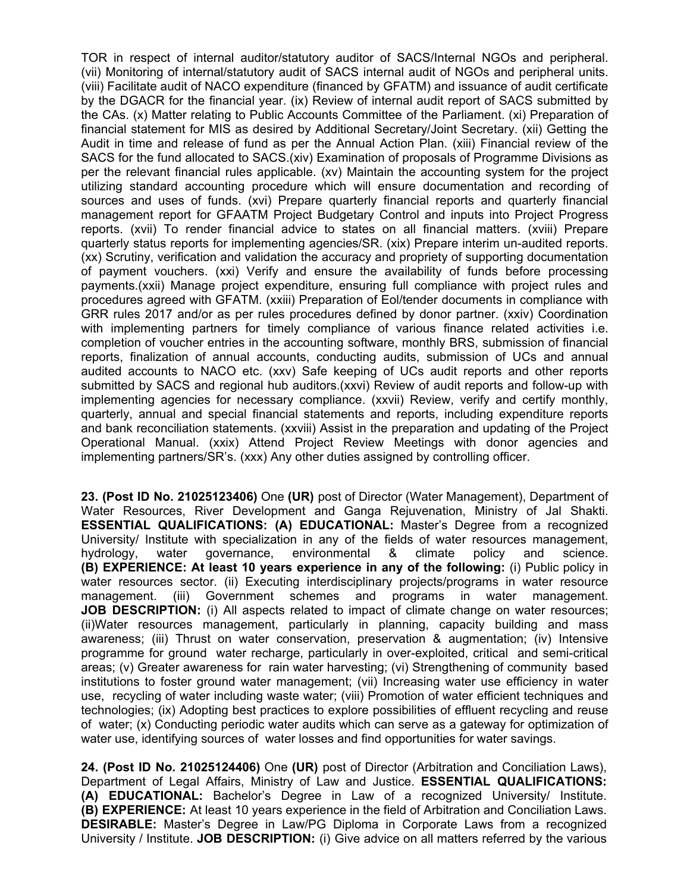TOR in respect of internal auditor/statutory auditor of SACS/Internal NGOs and peripheral. (vii) Monitoring of internal/statutory audit of SACS internal audit of NGOs and peripheral units. (viii) Facilitate audit of NACO expenditure (financed by GFATM) and issuance of audit certificate by the DGACR for the financial year. (ix) Review of internal audit report of SACS submitted by the CAs. (x) Matter relating to Public Accounts Committee of the Parliament. (xi) Preparation of financial statement for MIS as desired by Additional Secretary/Joint Secretary. (xii) Getting the Audit in time and release of fund as per the Annual Action Plan. (xiii) Financial review of the SACS for the fund allocated to SACS.(xiv) Examination of proposals of Programme Divisions as per the relevant financial rules applicable. (xv) Maintain the accounting system for the project utilizing standard accounting procedure which will ensure documentation and recording of sources and uses of funds. (xvi) Prepare quarterly financial reports and quarterly financial management report for GFAATM Project Budgetary Control and inputs into Project Progress reports. (xvii) To render financial advice to states on all financial matters. (xviii) Prepare quarterly status reports for implementing agencies/SR. (xix) Prepare interim un-audited reports. (xx) Scrutiny, verification and validation the accuracy and propriety of supporting documentation of payment vouchers. (xxi) Verify and ensure the availability of funds before processing payments.(xxii) Manage project expenditure, ensuring full compliance with project rules and procedures agreed with GFATM. (xxiii) Preparation of Eol/tender documents in compliance with GRR rules 2017 and/or as per rules procedures defined by donor partner. (xxiv) Coordination with implementing partners for timely compliance of various finance related activities i.e. completion of voucher entries in the accounting software, monthly BRS, submission of financial reports, finalization of annual accounts, conducting audits, submission of UCs and annual audited accounts to NACO etc. (xxv) Safe keeping of UCs audit reports and other reports submitted by SACS and regional hub auditors.(xxvi) Review of audit reports and follow-up with implementing agencies for necessary compliance. (xxvii) Review, verify and certify monthly, quarterly, annual and special financial statements and reports, including expenditure reports and bank reconciliation statements. (xxviii) Assist in the preparation and updating of the Project Operational Manual. (xxix) Attend Project Review Meetings with donor agencies and implementing partners/SR's. (xxx) Any other duties assigned by controlling officer.

**23. (Post ID No. 21025123406)** One **(UR)** post of Director (Water Management), Department of Water Resources, River Development and Ganga Rejuvenation, Ministry of Jal Shakti. **ESSENTIAL QUALIFICATIONS: (A) EDUCATIONAL:** Master's Degree from a recognized University/ Institute with specialization in any of the fields of water resources management, hydrology, water governance, environmental & climate policy and science. **(B) EXPERIENCE: At least 10 years experience in any of the following:** (i) Public policy in water resources sector. (ii) Executing interdisciplinary projects/programs in water resource management. (iii) Government schemes and programs in water management. **JOB DESCRIPTION:** (i) All aspects related to impact of climate change on water resources; (ii)Water resources management, particularly in planning, capacity building and mass awareness; (iii) Thrust on water conservation, preservation & augmentation; (iv) Intensive programme for ground water recharge, particularly in over-exploited, critical and semi-critical areas; (v) Greater awareness for rain water harvesting; (vi) Strengthening of community based institutions to foster ground water management; (vii) Increasing water use efficiency in water use, recycling of water including waste water; (viii) Promotion of water efficient techniques and technologies; (ix) Adopting best practices to explore possibilities of effluent recycling and reuse of water; (x) Conducting periodic water audits which can serve as a gateway for optimization of water use, identifying sources of water losses and find opportunities for water savings.

**24. (Post ID No. 21025124406)** One **(UR)** post of Director (Arbitration and Conciliation Laws), Department of Legal Affairs, Ministry of Law and Justice. **ESSENTIAL QUALIFICATIONS: (A) EDUCATIONAL:** Bachelor's Degree in Law of a recognized University/ Institute. **(B) EXPERIENCE:** At least 10 years experience in the field of Arbitration and Conciliation Laws. **DESIRABLE:** Master's Degree in Law/PG Diploma in Corporate Laws from a recognized University / Institute. **JOB DESCRIPTION:** (i) Give advice on all matters referred by the various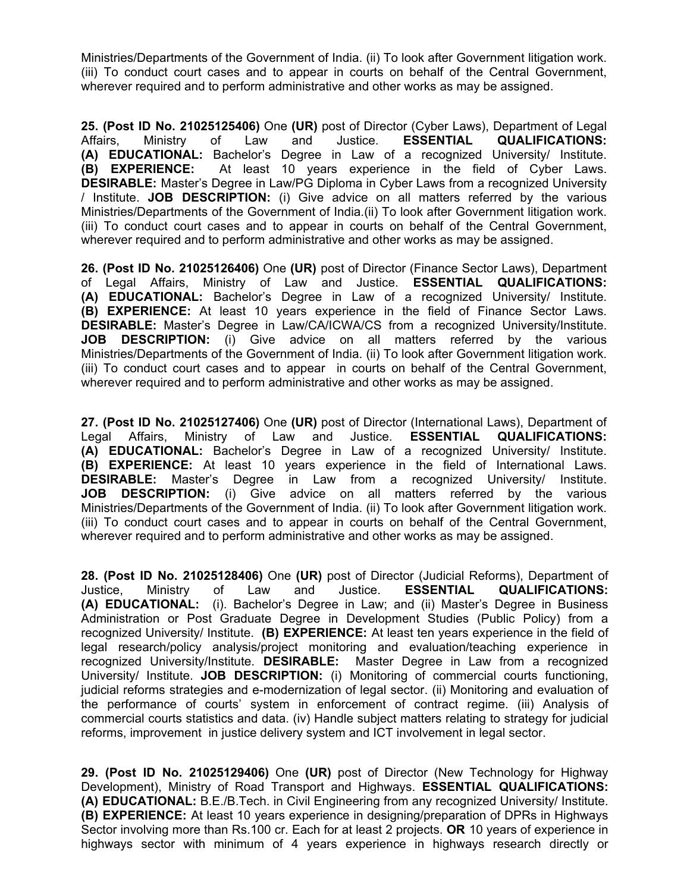Ministries/Departments of the Government of India. (ii) To look after Government litigation work. (iii) To conduct court cases and to appear in courts on behalf of the Central Government, wherever required and to perform administrative and other works as may be assigned.

**25. (Post ID No. 21025125406)** One **(UR)** post of Director (Cyber Laws), Department of Legal Affairs, Ministry of Law and Justice. **ESSENTIAL QUALIFICATIONS: (A) EDUCATIONAL:** Bachelor's Degree in Law of a recognized University/ Institute. **(B) EXPERIENCE:** At least 10 years experience in the field of Cyber Laws. **DESIRABLE:** Master's Degree in Law/PG Diploma in Cyber Laws from a recognized University / Institute. **JOB DESCRIPTION:** (i) Give advice on all matters referred by the various Ministries/Departments of the Government of India.(ii) To look after Government litigation work. (iii) To conduct court cases and to appear in courts on behalf of the Central Government, wherever required and to perform administrative and other works as may be assigned.

**26. (Post ID No. 21025126406)** One **(UR)** post of Director (Finance Sector Laws), Department of Legal Affairs, Ministry of Law and Justice. **ESSENTIAL QUALIFICATIONS: (A) EDUCATIONAL:** Bachelor's Degree in Law of a recognized University/ Institute. **(B) EXPERIENCE:** At least 10 years experience in the field of Finance Sector Laws. **DESIRABLE:** Master's Degree in Law/CA/ICWA/CS from a recognized University/Institute. **JOB DESCRIPTION:** (i) Give advice on all matters referred by the various Ministries/Departments of the Government of India. (ii) To look after Government litigation work. (iii) To conduct court cases and to appear in courts on behalf of the Central Government, wherever required and to perform administrative and other works as may be assigned.

**27. (Post ID No. 21025127406)** One **(UR)** post of Director (International Laws), Department of Legal Affairs, Ministry of Law and Justice. **ESSENTIAL QUALIFICATIONS: (A) EDUCATIONAL:** Bachelor's Degree in Law of a recognized University/ Institute. **(B) EXPERIENCE:** At least 10 years experience in the field of International Laws. **DESIRABLE:** Master's Degree in Law from a recognized University/ Institute. **JOB DESCRIPTION:** (i) Give advice on all matters referred by the various Ministries/Departments of the Government of India. (ii) To look after Government litigation work. (iii) To conduct court cases and to appear in courts on behalf of the Central Government, wherever required and to perform administrative and other works as may be assigned.

**28. (Post ID No. 21025128406)** One **(UR)** post of Director (Judicial Reforms), Department of Justice, Ministry of Law and Justice. **ESSENTIAL QUALIFICATIONS: (A) EDUCATIONAL:** (i). Bachelor's Degree in Law; and (ii) Master's Degree in Business Administration or Post Graduate Degree in Development Studies (Public Policy) from a recognized University/ Institute. **(B) EXPERIENCE:** At least ten years experience in the field of legal research/policy analysis/project monitoring and evaluation/teaching experience in recognized University/Institute. **DESIRABLE:** Master Degree in Law from a recognized University/ Institute. **JOB DESCRIPTION:** (i) Monitoring of commercial courts functioning, judicial reforms strategies and e-modernization of legal sector. (ii) Monitoring and evaluation of the performance of courts' system in enforcement of contract regime. (iii) Analysis of commercial courts statistics and data. (iv) Handle subject matters relating to strategy for judicial reforms, improvement in justice delivery system and ICT involvement in legal sector.

**29. (Post ID No. 21025129406)** One **(UR)** post of Director (New Technology for Highway Development), Ministry of Road Transport and Highways. **ESSENTIAL QUALIFICATIONS: (A) EDUCATIONAL:** B.E./B.Tech. in Civil Engineering from any recognized University/ Institute. **(B) EXPERIENCE:** At least 10 years experience in designing/preparation of DPRs in Highways Sector involving more than Rs.100 cr. Each for at least 2 projects. **OR** 10 years of experience in highways sector with minimum of 4 years experience in highways research directly or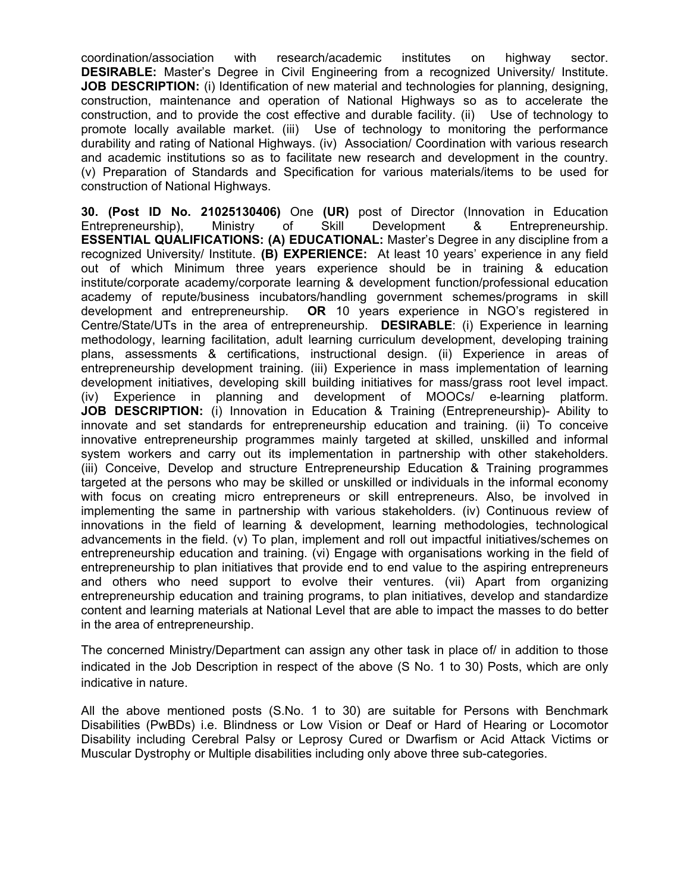coordination/association with research/academic institutes on highway sector. **DESIRABLE:** Master's Degree in Civil Engineering from a recognized University/ Institute. **JOB DESCRIPTION:** (i) Identification of new material and technologies for planning, designing, construction, maintenance and operation of National Highways so as to accelerate the construction, and to provide the cost effective and durable facility. (ii) Use of technology to promote locally available market. (iii) Use of technology to monitoring the performance durability and rating of National Highways. (iv) Association/ Coordination with various research and academic institutions so as to facilitate new research and development in the country. (v) Preparation of Standards and Specification for various materials/items to be used for construction of National Highways.

**30. (Post ID No. 21025130406)** One **(UR)** post of Director (Innovation in Education Entrepreneurship), Ministry of Skill Development & Entrepreneurship. **ESSENTIAL QUALIFICATIONS: (A) EDUCATIONAL:** Master's Degree in any discipline from a recognized University/ Institute. **(B) EXPERIENCE:** At least 10 years' experience in any field out of which Minimum three years experience should be in training & education institute/corporate academy/corporate learning & development function/professional education academy of repute/business incubators/handling government schemes/programs in skill development and entrepreneurship. **OR** 10 years experience in NGO's registered in Centre/State/UTs in the area of entrepreneurship. **DESIRABLE**: (i) Experience in learning methodology, learning facilitation, adult learning curriculum development, developing training plans, assessments & certifications, instructional design. (ii) Experience in areas of entrepreneurship development training. (iii) Experience in mass implementation of learning development initiatives, developing skill building initiatives for mass/grass root level impact. (iv) Experience in planning and development of MOOCs/ e-learning platform. **JOB DESCRIPTION:** (i) Innovation in Education & Training (Entrepreneurship)- Ability to innovate and set standards for entrepreneurship education and training. (ii) To conceive innovative entrepreneurship programmes mainly targeted at skilled, unskilled and informal system workers and carry out its implementation in partnership with other stakeholders. (iii) Conceive, Develop and structure Entrepreneurship Education & Training programmes targeted at the persons who may be skilled or unskilled or individuals in the informal economy with focus on creating micro entrepreneurs or skill entrepreneurs. Also, be involved in implementing the same in partnership with various stakeholders. (iv) Continuous review of innovations in the field of learning & development, learning methodologies, technological advancements in the field. (v) To plan, implement and roll out impactful initiatives/schemes on entrepreneurship education and training. (vi) Engage with organisations working in the field of entrepreneurship to plan initiatives that provide end to end value to the aspiring entrepreneurs and others who need support to evolve their ventures. (vii) Apart from organizing entrepreneurship education and training programs, to plan initiatives, develop and standardize content and learning materials at National Level that are able to impact the masses to do better in the area of entrepreneurship.

The concerned Ministry/Department can assign any other task in place of/ in addition to those indicated in the Job Description in respect of the above (S No. 1 to 30) Posts, which are only indicative in nature.

All the above mentioned posts (S.No. 1 to 30) are suitable for Persons with Benchmark Disabilities (PwBDs) i.e. Blindness or Low Vision or Deaf or Hard of Hearing or Locomotor Disability including Cerebral Palsy or Leprosy Cured or Dwarfism or Acid Attack Victims or Muscular Dystrophy or Multiple disabilities including only above three sub-categories.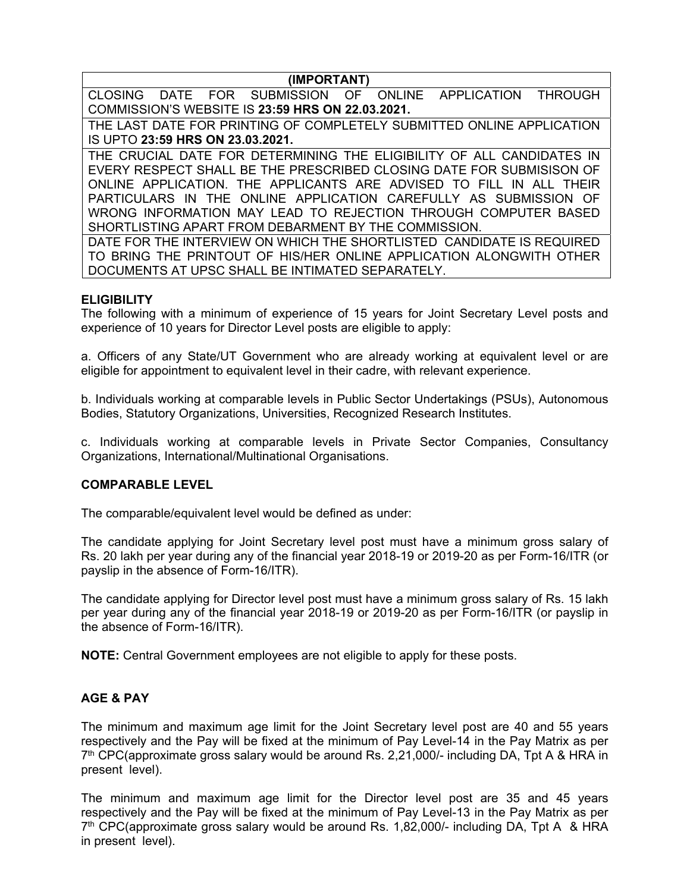**(IMPORTANT)** 

CLOSING DATE FOR SUBMISSION OF ONLINE APPLICATION THROUGH COMMISSION'S WEBSITE IS **23:59 HRS ON 22.03.2021.** 

THE LAST DATE FOR PRINTING OF COMPLETELY SUBMITTED ONLINE APPLICATION IS UPTO **23:59 HRS ON 23.03.2021.**

THE CRUCIAL DATE FOR DETERMINING THE ELIGIBILITY OF ALL CANDIDATES IN EVERY RESPECT SHALL BE THE PRESCRIBED CLOSING DATE FOR SUBMISISON OF ONLINE APPLICATION. THE APPLICANTS ARE ADVISED TO FILL IN ALL THEIR PARTICULARS IN THE ONLINE APPLICATION CAREFULLY AS SUBMISSION OF WRONG INFORMATION MAY LEAD TO REJECTION THROUGH COMPUTER BASED SHORTLISTING APART FROM DEBARMENT BY THE COMMISSION.

DATE FOR THE INTERVIEW ON WHICH THE SHORTLISTED CANDIDATE IS REQUIRED TO BRING THE PRINTOUT OF HIS/HER ONLINE APPLICATION ALONGWITH OTHER DOCUMENTS AT UPSC SHALL BE INTIMATED SEPARATELY.

### **ELIGIBILITY**

The following with a minimum of experience of 15 years for Joint Secretary Level posts and experience of 10 years for Director Level posts are eligible to apply:

a. Officers of any State/UT Government who are already working at equivalent level or are eligible for appointment to equivalent level in their cadre, with relevant experience.

b. Individuals working at comparable levels in Public Sector Undertakings (PSUs), Autonomous Bodies, Statutory Organizations, Universities, Recognized Research Institutes.

c. Individuals working at comparable levels in Private Sector Companies, Consultancy Organizations, International/Multinational Organisations.

#### **COMPARABLE LEVEL**

The comparable/equivalent level would be defined as under:

The candidate applying for Joint Secretary level post must have a minimum gross salary of Rs. 20 lakh per year during any of the financial year 2018-19 or 2019-20 as per Form-16/ITR (or payslip in the absence of Form-16/ITR).

The candidate applying for Director level post must have a minimum gross salary of Rs. 15 lakh per year during any of the financial year 2018-19 or 2019-20 as per Form-16/ITR (or payslip in the absence of Form-16/ITR).

**NOTE:** Central Government employees are not eligible to apply for these posts.

#### **AGE & PAY**

The minimum and maximum age limit for the Joint Secretary level post are 40 and 55 years respectively and the Pay will be fixed at the minimum of Pay Level-14 in the Pay Matrix as per 7<sup>th</sup> CPC(approximate gross salary would be around Rs. 2,21,000/- including DA, Tpt A & HRA in present level).

The minimum and maximum age limit for the Director level post are 35 and 45 years respectively and the Pay will be fixed at the minimum of Pay Level-13 in the Pay Matrix as per  $7<sup>th</sup>$  CPC(approximate gross salary would be around Rs. 1,82,000/- including DA, Tpt A & HRA in present level).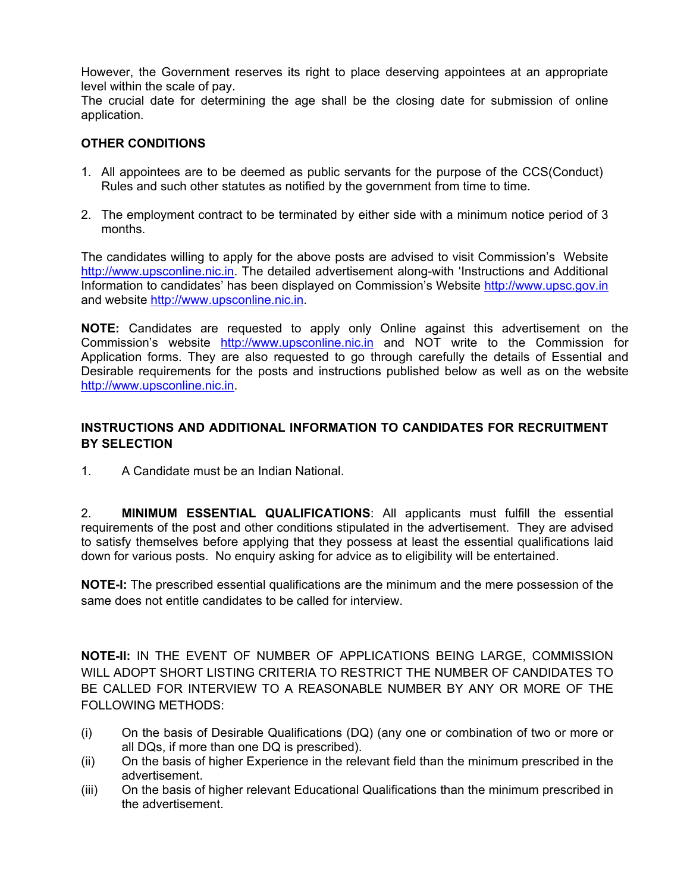However, the Government reserves its right to place deserving appointees at an appropriate level within the scale of pay.

The crucial date for determining the age shall be the closing date for submission of online application.

### **OTHER CONDITIONS**

- 1. All appointees are to be deemed as public servants for the purpose of the CCS(Conduct) Rules and such other statutes as notified by the government from time to time.
- 2. The employment contract to be terminated by either side with a minimum notice period of 3 months.

The candidates willing to apply for the above posts are advised to visit Commission's Website http://www.upsconline.nic.in. The detailed advertisement along-with 'Instructions and Additional Information to candidates' has been displayed on Commission's Website http://www.upsc.gov.in and website http://www.upsconline.nic.in.

**NOTE:** Candidates are requested to apply only Online against this advertisement on the Commission's website http://www.upsconline.nic.in and NOT write to the Commission for Application forms. They are also requested to go through carefully the details of Essential and Desirable requirements for the posts and instructions published below as well as on the website http://www.upsconline.nic.in.

### **INSTRUCTIONS AND ADDITIONAL INFORMATION TO CANDIDATES FOR RECRUITMENT BY SELECTION**

1. A Candidate must be an Indian National.

2. **MINIMUM ESSENTIAL QUALIFICATIONS**: All applicants must fulfill the essential requirements of the post and other conditions stipulated in the advertisement. They are advised to satisfy themselves before applying that they possess at least the essential qualifications laid down for various posts. No enquiry asking for advice as to eligibility will be entertained.

**NOTE-I:** The prescribed essential qualifications are the minimum and the mere possession of the same does not entitle candidates to be called for interview.

**NOTE-II:** IN THE EVENT OF NUMBER OF APPLICATIONS BEING LARGE, COMMISSION WILL ADOPT SHORT LISTING CRITERIA TO RESTRICT THE NUMBER OF CANDIDATES TO BE CALLED FOR INTERVIEW TO A REASONABLE NUMBER BY ANY OR MORE OF THE FOLLOWING METHODS:

- (i) On the basis of Desirable Qualifications (DQ) (any one or combination of two or more or all DQs, if more than one DQ is prescribed).
- (ii) On the basis of higher Experience in the relevant field than the minimum prescribed in the advertisement.
- (iii) On the basis of higher relevant Educational Qualifications than the minimum prescribed in the advertisement.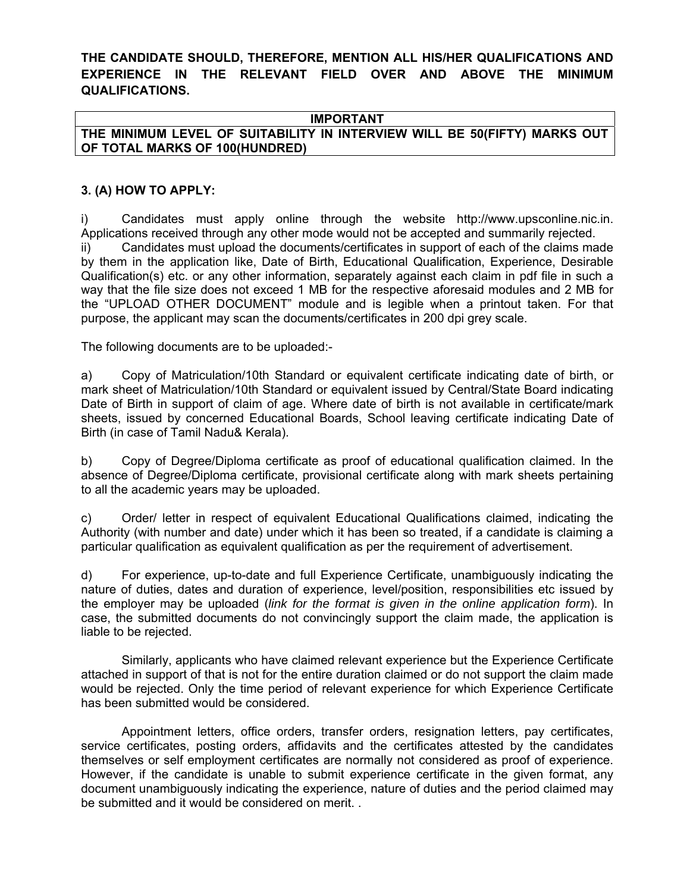**THE CANDIDATE SHOULD, THEREFORE, MENTION ALL HIS/HER QUALIFICATIONS AND EXPERIENCE IN THE RELEVANT FIELD OVER AND ABOVE THE MINIMUM QUALIFICATIONS.** 

#### **IMPORTANT**

**THE MINIMUM LEVEL OF SUITABILITY IN INTERVIEW WILL BE 50(FIFTY) MARKS OUT OF TOTAL MARKS OF 100(HUNDRED)** 

#### **3. (A) HOW TO APPLY:**

i) Candidates must apply online through the website http://www.upsconline.nic.in. Applications received through any other mode would not be accepted and summarily rejected. ii) Candidates must upload the documents/certificates in support of each of the claims made by them in the application like, Date of Birth, Educational Qualification, Experience, Desirable Qualification(s) etc. or any other information, separately against each claim in pdf file in such a way that the file size does not exceed 1 MB for the respective aforesaid modules and 2 MB for the "UPLOAD OTHER DOCUMENT" module and is legible when a printout taken. For that purpose, the applicant may scan the documents/certificates in 200 dpi grey scale.

The following documents are to be uploaded:-

a) Copy of Matriculation/10th Standard or equivalent certificate indicating date of birth, or mark sheet of Matriculation/10th Standard or equivalent issued by Central/State Board indicating Date of Birth in support of claim of age. Where date of birth is not available in certificate/mark sheets, issued by concerned Educational Boards, School leaving certificate indicating Date of Birth (in case of Tamil Nadu& Kerala).

b) Copy of Degree/Diploma certificate as proof of educational qualification claimed. In the absence of Degree/Diploma certificate, provisional certificate along with mark sheets pertaining to all the academic years may be uploaded.

c) Order/ letter in respect of equivalent Educational Qualifications claimed, indicating the Authority (with number and date) under which it has been so treated, if a candidate is claiming a particular qualification as equivalent qualification as per the requirement of advertisement.

d) For experience, up-to-date and full Experience Certificate, unambiguously indicating the nature of duties, dates and duration of experience, level/position, responsibilities etc issued by the employer may be uploaded (*link for the format is given in the online application form*). In case, the submitted documents do not convincingly support the claim made, the application is liable to be rejected.

Similarly, applicants who have claimed relevant experience but the Experience Certificate attached in support of that is not for the entire duration claimed or do not support the claim made would be rejected. Only the time period of relevant experience for which Experience Certificate has been submitted would be considered.

Appointment letters, office orders, transfer orders, resignation letters, pay certificates, service certificates, posting orders, affidavits and the certificates attested by the candidates themselves or self employment certificates are normally not considered as proof of experience. However, if the candidate is unable to submit experience certificate in the given format, any document unambiguously indicating the experience, nature of duties and the period claimed may be submitted and it would be considered on merit. .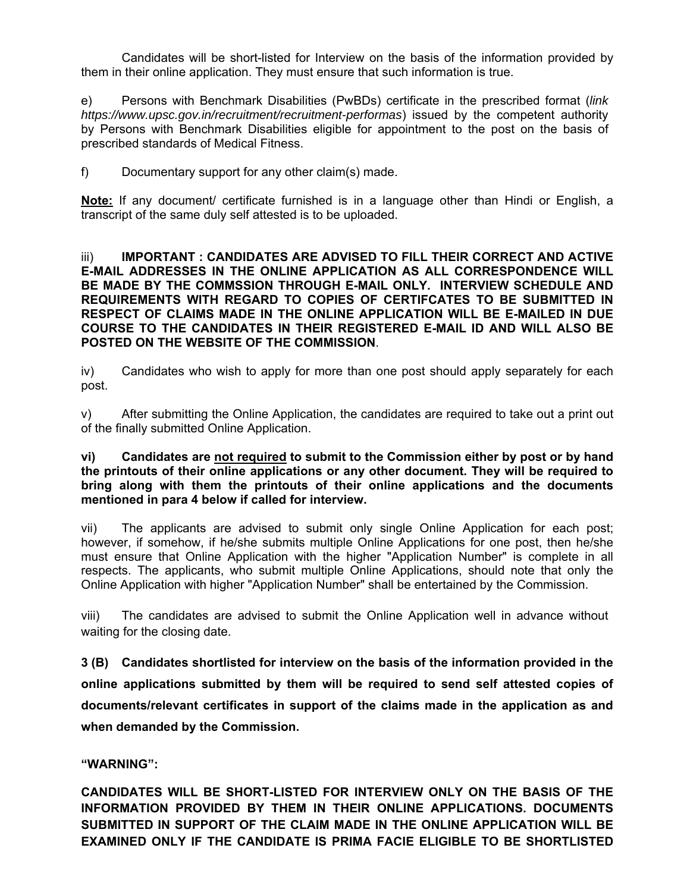Candidates will be short-listed for Interview on the basis of the information provided by them in their online application. They must ensure that such information is true.

e) Persons with Benchmark Disabilities (PwBDs) certificate in the prescribed format (*link https://www.upsc.gov.in/recruitment/recruitment-performas*) issued by the competent authority by Persons with Benchmark Disabilities eligible for appointment to the post on the basis of prescribed standards of Medical Fitness.

f) Documentary support for any other claim(s) made.

**Note:** If any document/ certificate furnished is in a language other than Hindi or English, a transcript of the same duly self attested is to be uploaded.

iii) **IMPORTANT : CANDIDATES ARE ADVISED TO FILL THEIR CORRECT AND ACTIVE E-MAIL ADDRESSES IN THE ONLINE APPLICATION AS ALL CORRESPONDENCE WILL BE MADE BY THE COMMSSION THROUGH E-MAIL ONLY. INTERVIEW SCHEDULE AND REQUIREMENTS WITH REGARD TO COPIES OF CERTIFCATES TO BE SUBMITTED IN RESPECT OF CLAIMS MADE IN THE ONLINE APPLICATION WILL BE E-MAILED IN DUE COURSE TO THE CANDIDATES IN THEIR REGISTERED E-MAIL ID AND WILL ALSO BE POSTED ON THE WEBSITE OF THE COMMISSION**.

iv) Candidates who wish to apply for more than one post should apply separately for each post.

v) After submitting the Online Application, the candidates are required to take out a print out of the finally submitted Online Application.

#### **vi) Candidates are not required to submit to the Commission either by post or by hand the printouts of their online applications or any other document. They will be required to bring along with them the printouts of their online applications and the documents mentioned in para 4 below if called for interview.**

vii) The applicants are advised to submit only single Online Application for each post; however, if somehow, if he/she submits multiple Online Applications for one post, then he/she must ensure that Online Application with the higher "Application Number" is complete in all respects. The applicants, who submit multiple Online Applications, should note that only the Online Application with higher "Application Number" shall be entertained by the Commission.

viii) The candidates are advised to submit the Online Application well in advance without waiting for the closing date.

**3 (B) Candidates shortlisted for interview on the basis of the information provided in the online applications submitted by them will be required to send self attested copies of documents/relevant certificates in support of the claims made in the application as and when demanded by the Commission.** 

**"WARNING":** 

**CANDIDATES WILL BE SHORT-LISTED FOR INTERVIEW ONLY ON THE BASIS OF THE INFORMATION PROVIDED BY THEM IN THEIR ONLINE APPLICATIONS. DOCUMENTS SUBMITTED IN SUPPORT OF THE CLAIM MADE IN THE ONLINE APPLICATION WILL BE EXAMINED ONLY IF THE CANDIDATE IS PRIMA FACIE ELIGIBLE TO BE SHORTLISTED**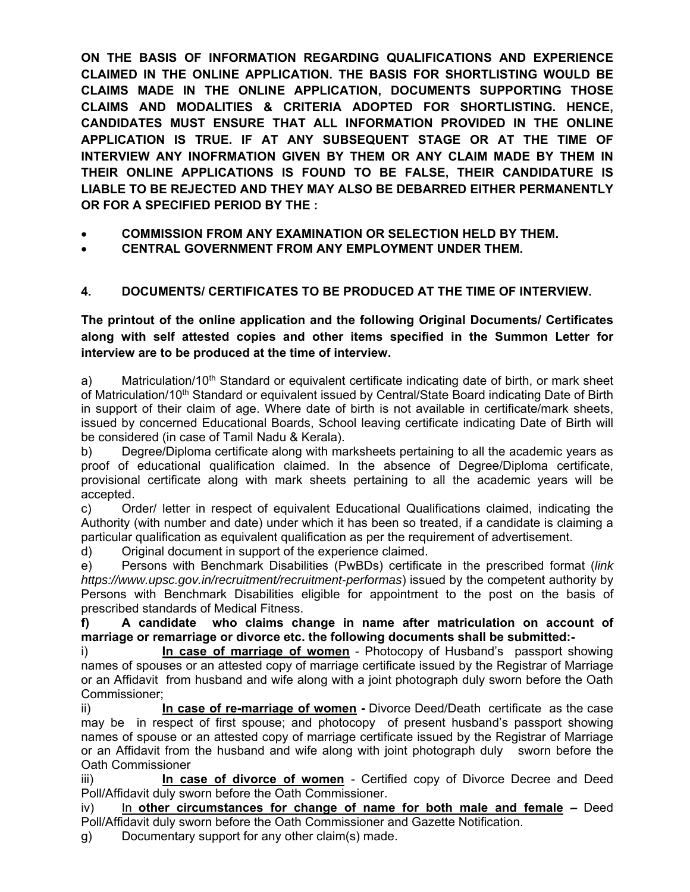**ON THE BASIS OF INFORMATION REGARDING QUALIFICATIONS AND EXPERIENCE CLAIMED IN THE ONLINE APPLICATION. THE BASIS FOR SHORTLISTING WOULD BE CLAIMS MADE IN THE ONLINE APPLICATION, DOCUMENTS SUPPORTING THOSE CLAIMS AND MODALITIES & CRITERIA ADOPTED FOR SHORTLISTING. HENCE, CANDIDATES MUST ENSURE THAT ALL INFORMATION PROVIDED IN THE ONLINE APPLICATION IS TRUE. IF AT ANY SUBSEQUENT STAGE OR AT THE TIME OF INTERVIEW ANY INOFRMATION GIVEN BY THEM OR ANY CLAIM MADE BY THEM IN THEIR ONLINE APPLICATIONS IS FOUND TO BE FALSE, THEIR CANDIDATURE IS LIABLE TO BE REJECTED AND THEY MAY ALSO BE DEBARRED EITHER PERMANENTLY OR FOR A SPECIFIED PERIOD BY THE :** 

- **COMMISSION FROM ANY EXAMINATION OR SELECTION HELD BY THEM.**
- **CENTRAL GOVERNMENT FROM ANY EMPLOYMENT UNDER THEM.**

# **4. DOCUMENTS/ CERTIFICATES TO BE PRODUCED AT THE TIME OF INTERVIEW.**

**The printout of the online application and the following Original Documents/ Certificates along with self attested copies and other items specified in the Summon Letter for interview are to be produced at the time of interview.** 

a) Matriculation/10<sup>th</sup> Standard or equivalent certificate indicating date of birth, or mark sheet of Matriculation/10<sup>th</sup> Standard or equivalent issued by Central/State Board indicating Date of Birth in support of their claim of age. Where date of birth is not available in certificate/mark sheets, issued by concerned Educational Boards, School leaving certificate indicating Date of Birth will be considered (in case of Tamil Nadu & Kerala).

b) Degree/Diploma certificate along with marksheets pertaining to all the academic years as proof of educational qualification claimed. In the absence of Degree/Diploma certificate, provisional certificate along with mark sheets pertaining to all the academic years will be accepted.

c) Order/ letter in respect of equivalent Educational Qualifications claimed, indicating the Authority (with number and date) under which it has been so treated, if a candidate is claiming a particular qualification as equivalent qualification as per the requirement of advertisement.

d) Original document in support of the experience claimed.

e) Persons with Benchmark Disabilities (PwBDs) certificate in the prescribed format (*link https://www.upsc.gov.in/recruitment/recruitment-performas*) issued by the competent authority by Persons with Benchmark Disabilities eligible for appointment to the post on the basis of prescribed standards of Medical Fitness.

**f) A candidate who claims change in name after matriculation on account of marriage or remarriage or divorce etc. the following documents shall be submitted:-** 

i) **In case of marriage of women** - Photocopy of Husband's passport showing names of spouses or an attested copy of marriage certificate issued by the Registrar of Marriage or an Affidavit from husband and wife along with a joint photograph duly sworn before the Oath Commissioner;

ii) **In case of re-marriage of women -** Divorce Deed/Death certificate as the case may be in respect of first spouse; and photocopy of present husband's passport showing names of spouse or an attested copy of marriage certificate issued by the Registrar of Marriage or an Affidavit from the husband and wife along with joint photograph duly sworn before the Oath Commissioner

iii) **In case of divorce of women** - Certified copy of Divorce Decree and Deed Poll/Affidavit duly sworn before the Oath Commissioner.

iv) In **other circumstances for change of name for both male and female –** Deed Poll/Affidavit duly sworn before the Oath Commissioner and Gazette Notification.

g) Documentary support for any other claim(s) made.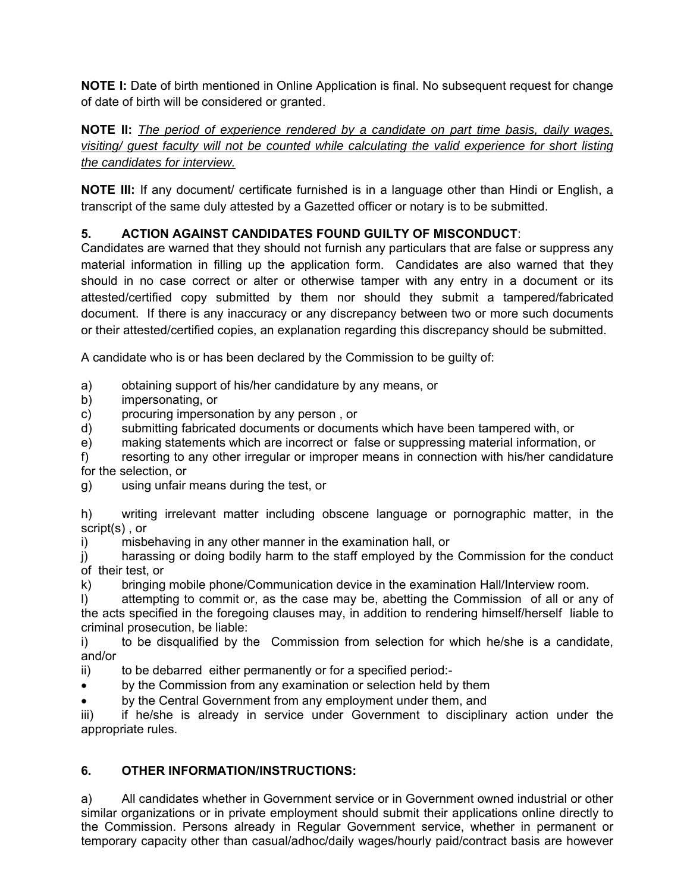**NOTE I:** Date of birth mentioned in Online Application is final. No subsequent request for change of date of birth will be considered or granted.

**NOTE II:** *The period of experience rendered by a candidate on part time basis, daily wages, visiting/ guest faculty will not be counted while calculating the valid experience for short listing the candidates for interview.*

**NOTE III:** If any document/ certificate furnished is in a language other than Hindi or English, a transcript of the same duly attested by a Gazetted officer or notary is to be submitted.

## **5. ACTION AGAINST CANDIDATES FOUND GUILTY OF MISCONDUCT**:

Candidates are warned that they should not furnish any particulars that are false or suppress any material information in filling up the application form. Candidates are also warned that they should in no case correct or alter or otherwise tamper with any entry in a document or its attested/certified copy submitted by them nor should they submit a tampered/fabricated document. If there is any inaccuracy or any discrepancy between two or more such documents or their attested/certified copies, an explanation regarding this discrepancy should be submitted.

A candidate who is or has been declared by the Commission to be guilty of:

a) obtaining support of his/her candidature by any means, or

b) impersonating, or

c) procuring impersonation by any person , or

- d) submitting fabricated documents or documents which have been tampered with, or
- e) making statements which are incorrect or false or suppressing material information, or

f) resorting to any other irregular or improper means in connection with his/her candidature for the selection, or

g) using unfair means during the test, or

h) writing irrelevant matter including obscene language or pornographic matter, in the script(s) , or

i) misbehaving in any other manner in the examination hall, or

j) harassing or doing bodily harm to the staff employed by the Commission for the conduct of their test, or

k) bringing mobile phone/Communication device in the examination Hall/Interview room.

l) attempting to commit or, as the case may be, abetting the Commission of all or any of the acts specified in the foregoing clauses may, in addition to rendering himself/herself liable to criminal prosecution, be liable:

i) to be disqualified by the Commission from selection for which he/she is a candidate, and/or

ii) to be debarred either permanently or for a specified period:-

by the Commission from any examination or selection held by them

by the Central Government from any employment under them, and

iii) if he/she is already in service under Government to disciplinary action under the appropriate rules.

## **6. OTHER INFORMATION/INSTRUCTIONS:**

a) All candidates whether in Government service or in Government owned industrial or other similar organizations or in private employment should submit their applications online directly to the Commission. Persons already in Regular Government service, whether in permanent or temporary capacity other than casual/adhoc/daily wages/hourly paid/contract basis are however